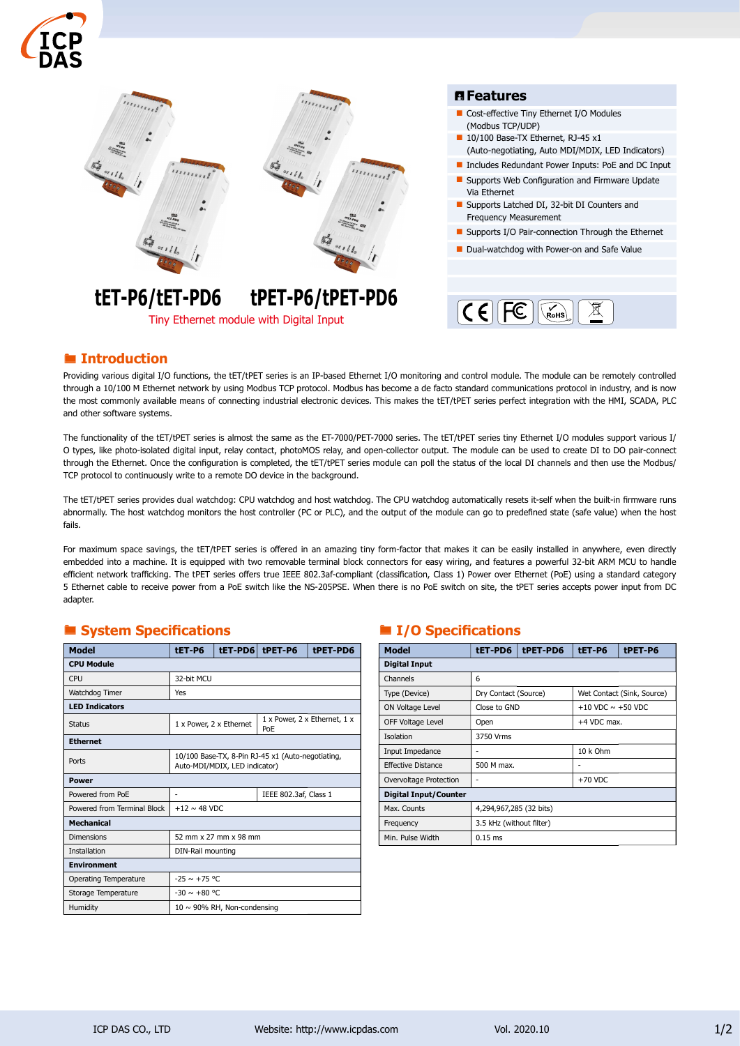



Tiny Ethernet module with Digital Input

- Cost-effective Tiny Ethernet I/O Modules
- 10/100 Base-TX Ethernet, RJ-45 x1 (Auto-negotiating, Auto MDI/MDIX, LED Indicators)
- Includes Redundant Power Inputs: PoE and DC Input
- $\blacksquare$  Supports Web Configuration and Firmware Update
- Supports Latched DI, 32-bit DI Counters and
- Supports I/O Pair-connection Through the Ethernet
- Dual-watchdog with Power-on and Safe Value

# **■ Introduction**

Providing various digital I/O functions, the tET/tPET series is an IP-based Ethernet I/O monitoring and control module. The module can be remotely controlled through a 10/100 M Ethernet network by using Modbus TCP protocol. Modbus has become a de facto standard communications protocol in industry, and is now the most commonly available means of connecting industrial electronic devices. This makes the tET/tPET series perfect integration with the HMI, SCADA, PLC and other software systems.

The functionality of the tET/tPET series is almost the same as the ET-7000/PET-7000 series. The tET/tPET series tiny Ethernet I/O modules support various I/ O types, like photo-isolated digital input, relay contact, photoMOS relay, and open-collector output. The module can be used to create DI to DO pair-connect through the Ethernet. Once the configuration is completed, the tET/tPET series module can poll the status of the local DI channels and then use the Modbus/ TCP protocol to continuously write to a remote DO device in the background.

The tET/tPET series provides dual watchdog: CPU watchdog and host watchdog. The CPU watchdog automatically resets it-self when the built-in firmware runs abnormally. The host watchdog monitors the host controller (PC or PLC), and the output of the module can go to predefined state (safe value) when the host fails.

For maximum space savings, the tET/tPET series is offered in an amazing tiny form-factor that makes it can be easily installed in anywhere, even directly embedded into a machine. It is equipped with two removable terminal block connectors for easy wiring, and features a powerful 32-bit ARM MCU to handle efficient network trafficking. The tPET series offers true IEEE 802.3af-compliant (classification, Class 1) Power over Ethernet (PoE) using a standard category 5 Ethernet cable to receive power from a PoE switch like the NS-205PSE. When there is no PoE switch on site, the tPET series accepts power input from DC adapter.

# ■ System Specifications 
■ I/O Specifications

| <b>Model</b>                | tET-P6                                                                             |  | tET-PD6 tPET-P6                     | tPET-PD6 |  |
|-----------------------------|------------------------------------------------------------------------------------|--|-------------------------------------|----------|--|
| <b>CPU Module</b>           |                                                                                    |  |                                     |          |  |
| CPU                         | 32-bit MCU                                                                         |  |                                     |          |  |
| Watchdog Timer              | Yes                                                                                |  |                                     |          |  |
| <b>LED Indicators</b>       |                                                                                    |  |                                     |          |  |
| Status                      | 1 x Power, 2 x Ethernet                                                            |  | 1 x Power, 2 x Ethernet, 1 x<br>PoE |          |  |
| <b>Ethernet</b>             |                                                                                    |  |                                     |          |  |
| Ports                       | 10/100 Base-TX, 8-Pin RJ-45 x1 (Auto-negotiating,<br>Auto-MDI/MDIX, LED indicator) |  |                                     |          |  |
| Power                       |                                                                                    |  |                                     |          |  |
| Powered from PoE            | IEEE 802.3af, Class 1<br>۰                                                         |  |                                     |          |  |
| Powered from Terminal Block | $+12 \sim 48$ VDC                                                                  |  |                                     |          |  |
| <b>Mechanical</b>           |                                                                                    |  |                                     |          |  |
| <b>Dimensions</b>           | 52 mm x 27 mm x 98 mm                                                              |  |                                     |          |  |
| Installation                | DIN-Rail mounting                                                                  |  |                                     |          |  |
| <b>Environment</b>          |                                                                                    |  |                                     |          |  |
| Operating Temperature       | $-25 \sim +75$ °C                                                                  |  |                                     |          |  |
| Storage Temperature         | $-30 \sim +80$ °C                                                                  |  |                                     |          |  |
| Humidity                    | $10 \sim 90\%$ RH, Non-condensing                                                  |  |                                     |          |  |

| <b>Model</b>                 | tET-PD6                  | tPET-PD6 | tET-P6                     | tPET-P6 |  |  |
|------------------------------|--------------------------|----------|----------------------------|---------|--|--|
| <b>Digital Input</b>         |                          |          |                            |         |  |  |
| Channels                     | 6                        |          |                            |         |  |  |
| Type (Device)                | Dry Contact (Source)     |          | Wet Contact (Sink, Source) |         |  |  |
| ON Voltage Level             | Close to GND             |          | $+10$ VDC $\sim +50$ VDC   |         |  |  |
| OFF Voltage Level            | Open                     |          | $+4$ VDC max.              |         |  |  |
| Isolation                    | 3750 Vrms                |          |                            |         |  |  |
| Input Impedance              | ۰                        |          | 10 k Ohm                   |         |  |  |
| Effective Distance           | 500 M max.               |          | ٠                          |         |  |  |
| Overvoltage Protection       | ۰                        |          | $+70$ VDC                  |         |  |  |
| <b>Digital Input/Counter</b> |                          |          |                            |         |  |  |
| Max. Counts                  | 4,294,967,285 (32 bits)  |          |                            |         |  |  |
| Frequency                    | 3.5 kHz (without filter) |          |                            |         |  |  |
| Min. Pulse Width             | $0.15$ ms                |          |                            |         |  |  |